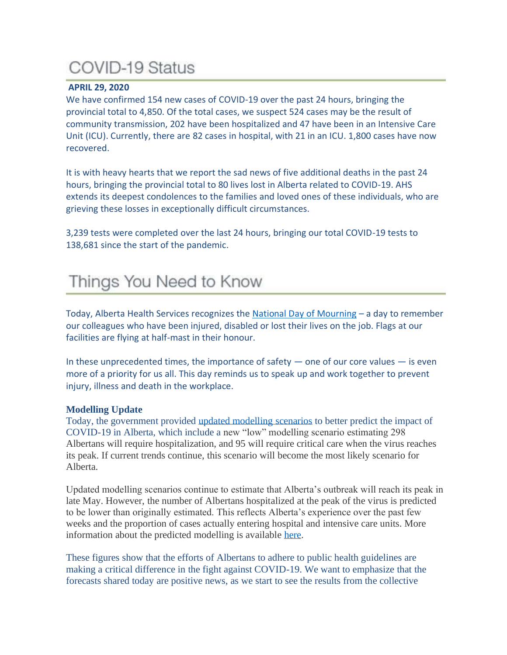## COVID-19 Status

### **APRIL 29, 2020**

We have confirmed 154 new cases of COVID-19 over the past 24 hours, bringing the provincial total to 4,850. Of the total cases, we suspect 524 cases may be the result of community transmission, 202 have been hospitalized and 47 have been in an Intensive Care Unit (ICU). Currently, there are 82 cases in hospital, with 21 in an ICU. 1,800 cases have now recovered.

It is with heavy hearts that we report the sad news of five additional deaths in the past 24 hours, bringing the provincial total to 80 lives lost in Alberta related to COVID-19. AHS extends its deepest condolences to the families and loved ones of these individuals, who are grieving these losses in exceptionally difficult circumstances.

3,239 tests were completed over the last 24 hours, bringing our total COVID-19 tests to 138,681 since the start of the pandemic.

## Things You Need to Know

Today, Alberta Health Services recognizes the [National Day of Mourning](https://insite.albertahealthservices.ca/news/ch/Page6176.aspx) – a day to remember our colleagues who have been injured, disabled or lost their lives on the job. Flags at our facilities are flying at half-mast in their honour.

In these unprecedented times, the importance of safety  $-$  one of our core values  $-$  is even more of a priority for us all. This day reminds us to speak up and work together to prevent injury, illness and death in the workplace.

### **Modelling Update**

Today, the government provided [updated modelling scenarios](https://www.alberta.ca/release.cfm?xID=701959A892092-D9E7-E7AA-585AF9B3CA8BCEAA) to better predict the impact of COVID-19 in Alberta, which include a new "low" modelling scenario estimating 298 Albertans will require hospitalization, and 95 will require critical care when the virus reaches its peak. If current trends continue, this scenario will become the most likely scenario for Alberta.

Updated modelling scenarios continue to estimate that Alberta's outbreak will reach its peak in late May. However, the number of Albertans hospitalized at the peak of the virus is predicted to be lower than originally estimated. This reflects Alberta's experience over the past few weeks and the proportion of cases actually entering hospital and intensive care units. More information about the predicted modelling is available [here.](https://www.alberta.ca/release.cfm?xID=701959A892092-D9E7-E7AA-585AF9B3CA8BCEAA)

These figures show that the efforts of Albertans to adhere to public health guidelines are making a critical difference in the fight against COVID-19. We want to emphasize that the forecasts shared today are positive news, as we start to see the results from the collective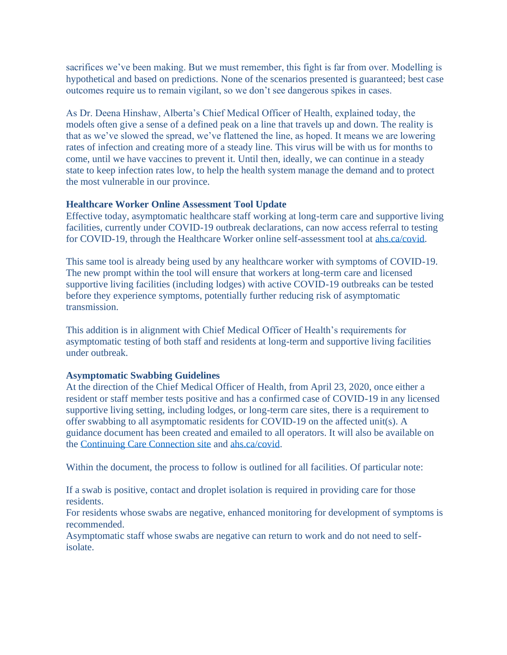sacrifices we've been making. But we must remember, this fight is far from over. Modelling is hypothetical and based on predictions. None of the scenarios presented is guaranteed; best case outcomes require us to remain vigilant, so we don't see dangerous spikes in cases.

As Dr. Deena Hinshaw, Alberta's Chief Medical Officer of Health, explained today, the models often give a sense of a defined peak on a line that travels up and down. The reality is that as we've slowed the spread, we've flattened the line, as hoped. It means we are lowering rates of infection and creating more of a steady line. This virus will be with us for months to come, until we have vaccines to prevent it. Until then, ideally, we can continue in a steady state to keep infection rates low, to help the health system manage the demand and to protect the most vulnerable in our province.

### **Healthcare Worker Online Assessment Tool Update**

Effective today, asymptomatic healthcare staff working at long-term care and supportive living facilities, currently under COVID-19 outbreak declarations, can now access referral to testing for COVID-19, through the Healthcare Worker online self-assessment tool at [ahs.ca/covid.](http://www.ahs.ca/covid)

This same tool is already being used by any healthcare worker with symptoms of COVID-19. The new prompt within the tool will ensure that workers at long-term care and licensed supportive living facilities (including lodges) with active COVID-19 outbreaks can be tested before they experience symptoms, potentially further reducing risk of asymptomatic transmission.

This addition is in alignment with Chief Medical Officer of Health's requirements for asymptomatic testing of both staff and residents at long-term and supportive living facilities under outbreak.

### **Asymptomatic Swabbing Guidelines**

At the direction of the Chief Medical Officer of Health, from April 23, 2020, once either a resident or staff member tests positive and has a confirmed case of COVID-19 in any licensed supportive living setting, including lodges, or long-term care sites, there is a requirement to offer swabbing to all asymptomatic residents for COVID-19 on the affected unit(s). A guidance document has been created and emailed to all operators. It will also be available on the [Continuing Care Connection site](https://connection.albertahealthservices.ca/) and [ahs.ca/covid.](http://www.ahs.ca/covid)

Within the document, the process to follow is outlined for all facilities. Of particular note:

If a swab is positive, contact and droplet isolation is required in providing care for those residents.

• For residents whose swabs are negative, enhanced monitoring for development of symptoms is recommended.

• Asymptomatic staff whose swabs are negative can return to work and do not need to selfisolate.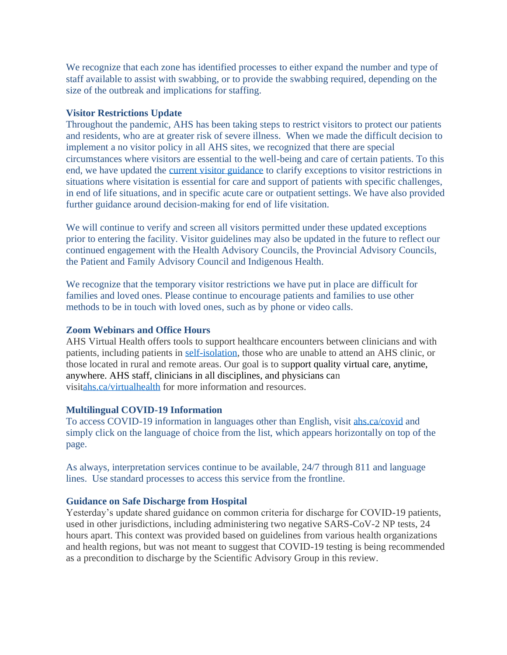We recognize that each zone has identified processes to either expand the number and type of staff available to assist with swabbing, or to provide the swabbing required, depending on the size of the outbreak and implications for staffing.

### **Visitor Restrictions Update**

Throughout the pandemic, AHS has been taking steps to restrict visitors to protect our patients and residents, who are at greater risk of severe illness. When we made the difficult decision to implement a no visitor policy in all AHS sites, we recognized that there are special circumstances where visitors are essential to the well-being and care of certain patients. To this end, we have updated the [current visitor guidance](https://www.albertahealthservices.ca/assets/healthinfo/ipc/hi-ipc-covid19-infosht-visiting-pts-pandemic.pdf) to clarify exceptions to visitor restrictions in situations where visitation is essential for care and support of patients with specific challenges, in end of life situations, and in specific acute care or outpatient settings. We have also provided further guidance around decision-making for end of life visitation.

We will continue to verify and screen all visitors permitted under these updated exceptions prior to entering the facility. Visitor guidelines may also be updated in the future to reflect our continued engagement with the Health Advisory Councils, the Provincial Advisory Councils, the Patient and Family Advisory Council and Indigenous Health.

We recognize that the temporary visitor restrictions we have put in place are difficult for families and loved ones. Please continue to encourage patients and families to use other methods to be in touch with loved ones, such as by phone or video calls.

### **Zoom Webinars and Office Hours**

AHS Virtual Health offers tools to support healthcare encounters between clinicians and with patients, including patients in [self-isolation,](https://www.alberta.ca/isolation.aspx) those who are unable to attend an AHS clinic, or those located in rural and remote areas. Our goal is to support quality virtual care, anytime, anywhere. AHS staff, clinicians in all disciplines, and physicians can visi[tahs.ca/virtualhealth](http://www.ahs.ca/virtualhealth) for more information and resources.

### **Multilingual COVID-19 Information**

To access COVID-19 information in languages other than English, visit [ahs.ca/covid](http://www.ahs.ca/covid) and simply click on the language of choice from the list, which appears horizontally on top of the page.

As always, interpretation services continue to be available, 24/7 through 811 and language lines. Use standard processes to access this service from the frontline.

### **Guidance on Safe Discharge from Hospital**

Yesterday's update shared guidance on common criteria for discharge for COVID-19 patients, used in other jurisdictions, including administering two negative SARS-CoV-2 NP tests, 24 hours apart. This context was provided based on guidelines from various health organizations and health regions, but was not meant to suggest that COVID-19 testing is being recommended as a precondition to discharge by the Scientific Advisory Group in this review.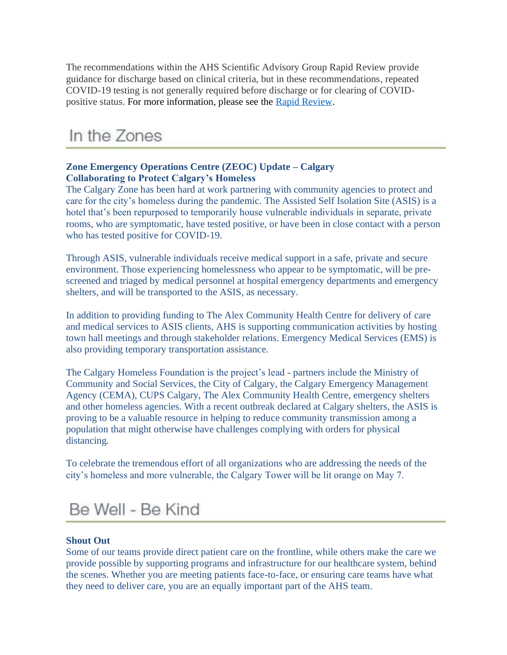The recommendations within the AHS Scientific Advisory Group Rapid Review provide guidance for discharge based on clinical criteria, but in these recommendations, repeated COVID-19 testing is not generally required before discharge or for clearing of COVIDpositive status. For more information, please see the [Rapid Review.](https://www.albertahealthservices.ca/assets/info/ppih/if-ppih-covid-19-sag-criteria-for-safe-discharge-from-hospital-rapid-review.pdf)

## In the Zones

### **Zone Emergency Operations Centre (ZEOC) Update – Calgary Collaborating to Protect Calgary's Homeless**

The Calgary Zone has been hard at work partnering with community agencies to protect and care for the city's homeless during the pandemic. The Assisted Self Isolation Site (ASIS) is a hotel that's been repurposed to temporarily house vulnerable individuals in separate, private rooms, who are symptomatic, have tested positive, or have been in close contact with a person who has tested positive for COVID-19.

Through ASIS, vulnerable individuals receive medical support in a safe, private and secure environment. Those experiencing homelessness who appear to be symptomatic, will be prescreened and triaged by medical personnel at hospital emergency departments and emergency shelters, and will be transported to the ASIS, as necessary.

In addition to providing funding to The Alex Community Health Centre for delivery of care and medical services to ASIS clients, AHS is supporting communication activities by hosting town hall meetings and through stakeholder relations. Emergency Medical Services (EMS) is also providing temporary transportation assistance.

The Calgary Homeless Foundation is the project's lead - partners include the Ministry of Community and Social Services, the City of Calgary, the Calgary Emergency Management Agency (CEMA), CUPS Calgary, The Alex Community Health Centre, emergency shelters and other homeless agencies. With a recent outbreak declared at Calgary shelters, the ASIS is proving to be a valuable resource in helping to reduce community transmission among a population that might otherwise have challenges complying with orders for physical distancing.

To celebrate the tremendous effort of all organizations who are addressing the needs of the city's homeless and more vulnerable, the Calgary Tower will be lit orange on May 7.

### **Shout Out**

Some of our teams provide direct patient care on the frontline, while others make the care we provide possible by supporting programs and infrastructure for our healthcare system, behind the scenes. Whether you are meeting patients face-to-face, or ensuring care teams have what they need to deliver care, you are an equally important part of the AHS team.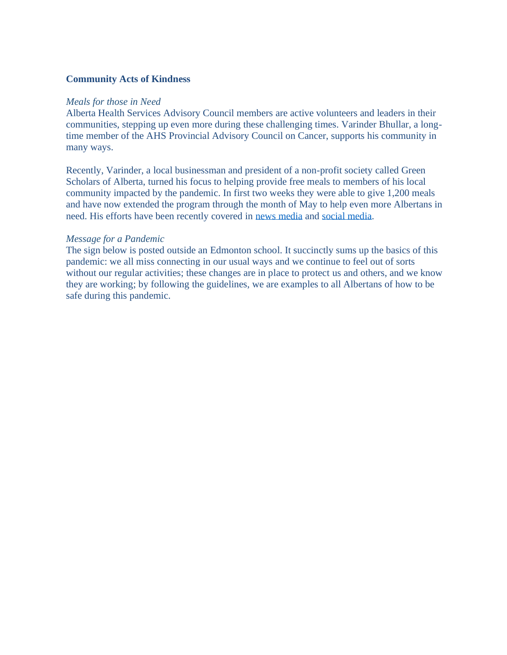### **Community Acts of Kindness**

### *Meals for those in Need*

Alberta Health Services Advisory Council members are active volunteers and leaders in their communities, stepping up even more during these challenging times. Varinder Bhullar, a longtime member of the AHS Provincial Advisory Council on Cancer, supports his community in many ways.

Recently, Varinder, a local businessman and president of a non-profit society called Green Scholars of Alberta, turned his focus to helping provide free meals to members of his local community impacted by the pandemic. In first two weeks they were able to give 1,200 meals and have now extended the program through the month of May to help even more Albertans in need. His efforts have been recently covered in [news media](https://www.cbc.ca/news/canada/edmonton/dil-e-punjab-green-scholars-of-alberta-free-meal-mill-woods-punjabi-pakistani-food-covid-19-1.5539009) and [social media.](https://www.facebook.com/VoteBhullar/videos/2697861910500829/)

### *Message for a Pandemic*

The sign below is posted outside an Edmonton school. It succinctly sums up the basics of this pandemic: we all miss connecting in our usual ways and we continue to feel out of sorts without our regular activities; these changes are in place to protect us and others, and we know they are working; by following the guidelines, we are examples to all Albertans of how to be safe during this pandemic.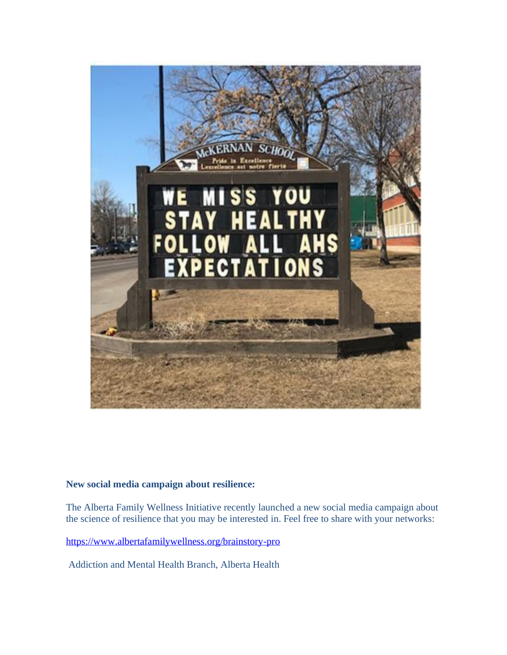

### **New social media campaign about resilience:**

The Alberta Family Wellness Initiative recently launched a new social media campaign about the science of resilience that you may be interested in. Feel free to share with your networks:

<https://www.albertafamilywellness.org/brainstory-pro>

Addiction and Mental Health Branch, Alberta Health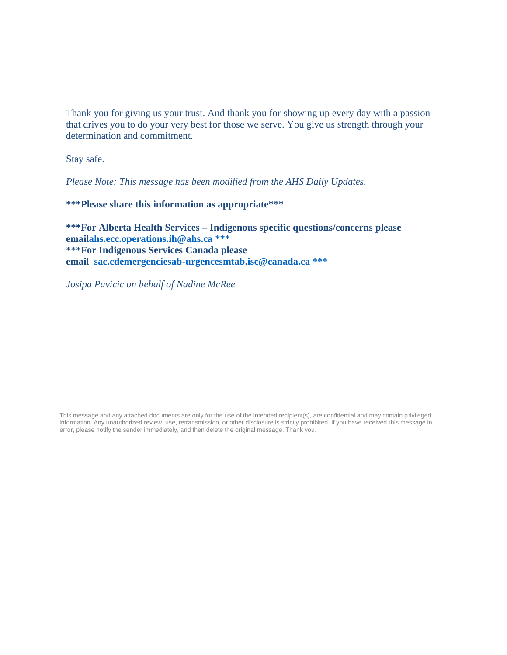Thank you for giving us your trust. And thank you for showing up every day with a passion that drives you to do your very best for those we serve. You give us strength through your determination and commitment.

Stay safe.

*Please Note: This message has been modified from the AHS Daily Updates.*

**\*\*\*Please share this information as appropriate\*\*\***

**\*\*\*For Alberta Health Services – Indigenous specific questions/concerns please emai[lahs.ecc.operations.ih@ahs.ca \\*\\*\\*](mailto:ahs.ecc.operations.ih@ahs.ca%20***) \*\*\*For Indigenous Services Canada please email [sac.cdemergenciesab-urgencesmtab.isc@canada.ca](mailto:sac.cdemergenciesab-urgencesmtab.isc@canada.ca) \*\*\***

*Josipa Pavicic on behalf of Nadine McRee*

This message and any attached documents are only for the use of the intended recipient(s), are confidential and may contain privileged information. Any unauthorized review, use, retransmission, or other disclosure is strictly prohibited. If you have received this message in error, please notify the sender immediately, and then delete the original message. Thank you.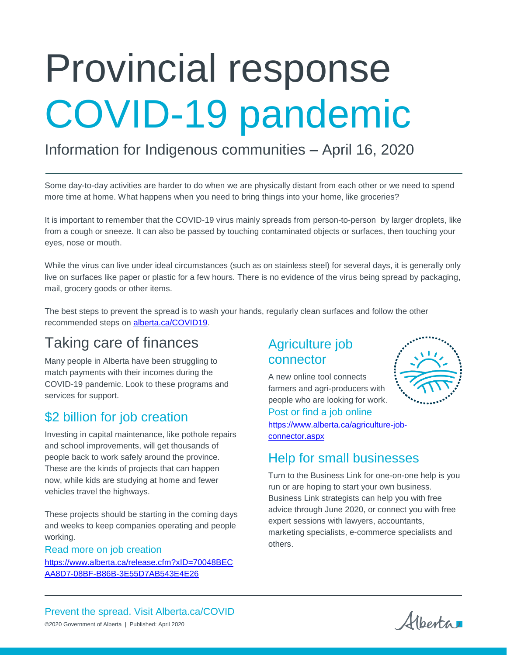# Provincial response COVID-19 pandemic

## Information for Indigenous communities – April 16, 2020

Some day-to-day activities are harder to do when we are physically distant from each other or we need to spend more time at home. What happens when you need to bring things into your home, like groceries?

It is important to remember that the COVID-19 virus mainly spreads from person-to-person by larger droplets, like from a cough or sneeze. It can also be passed by touching contaminated objects or surfaces, then touching your eyes, nose or mouth.

While the virus can live under ideal circumstances (such as on stainless steel) for several days, it is generally only live on surfaces like paper or plastic for a few hours. There is no evidence of the virus being spread by packaging, mail, grocery goods or other items.

The best steps to prevent the spread is to wash your hands, regularly clean surfaces and follow the other recommended steps on [alberta.ca/COVID19.](https://www.alberta.ca/coronavirus-info-for-albertans.aspx)

## Taking care of finances

Many people in Alberta have been struggling to match payments with their incomes during the COVID-19 pandemic. Look to these programs and services for support.

## \$2 billion for job creation

Investing in capital maintenance, like pothole repairs and school improvements, will get thousands of people back to work safely around the province. These are the kinds of projects that can happen now, while kids are studying at home and fewer vehicles travel the highways.

These projects should be starting in the coming days and weeks to keep companies operating and people working.

Read more on job creation

[https://www.alberta.ca/release.cfm?xID=70048BEC](https://www.alberta.ca/release.cfm?xID=70048BECAA8D7-08BF-B86B-3E55D7AB543E4E26) [AA8D7-08BF-B86B-3E55D7AB543E4E26](https://www.alberta.ca/release.cfm?xID=70048BECAA8D7-08BF-B86B-3E55D7AB543E4E26)

## Agriculture job connector

A new online tool connects farmers and agri-producers with people who are looking for work.



Post or find a job online [https://www.alberta.ca/agriculture-job-](https://www.alberta.ca/agriculture-job-connector.aspx)

[connector.aspx](https://www.alberta.ca/agriculture-job-connector.aspx)

## Help for small businesses

Turn to the Business Link for one-on-one help is you run or are hoping to start your own business. Business Link strategists can help you with free advice through June 2020, or connect you with free expert sessions with lawyers, accountants, marketing specialists, e-commerce specialists and others.

Prevent the spread. Visit Alberta.ca/COVID ©2020 Government of Alberta | Published: April 2020

Alberta